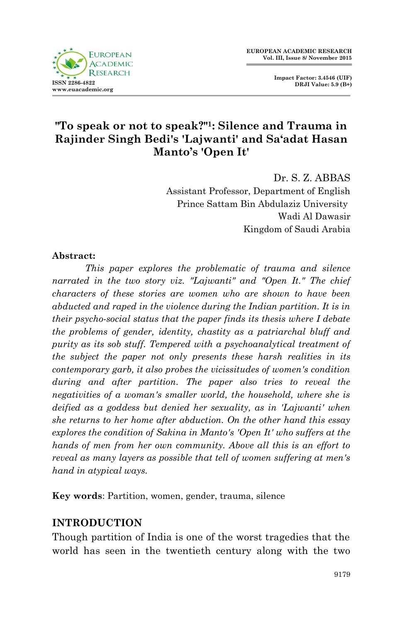

# **"To speak or not to speak?"1: Silence and Trauma in Rajinder Singh Bedi's 'Lajwanti' and Sa'adat Hasan Manto's 'Open It'**

Dr. S. Z. ABBAS

Assistant Professor, Department of English Prince Sattam Bin Abdulaziz University Wadi Al Dawasir Kingdom of Saudi Arabia

#### **Abstract:**

*This paper explores the problematic of trauma and silence narrated in the two story viz. "Lajwanti" and "Open It." The chief characters of these stories are women who are shown to have been abducted and raped in the violence during the Indian partition. It is in their psycho-social status that the paper finds its thesis where I debate the problems of gender, identity, chastity as a patriarchal bluff and purity as its sob stuff. Tempered with a psychoanalytical treatment of the subject the paper not only presents these harsh realities in its contemporary garb, it also probes the vicissitudes of women's condition during and after partition. The paper also tries to reveal the negativities of a woman's smaller world, the household, where she is deified as a goddess but denied her sexuality, as in 'Lajwanti' when she returns to her home after abduction. On the other hand this essay explores the condition of Sakina in Manto's 'Open It' who suffers at the hands of men from her own community. Above all this is an effort to reveal as many layers as possible that tell of women suffering at men's hand in atypical ways.*

**Key words**: Partition, women, gender, trauma, silence

## **INTRODUCTION**

Though partition of India is one of the worst tragedies that the world has seen in the twentieth century along with the two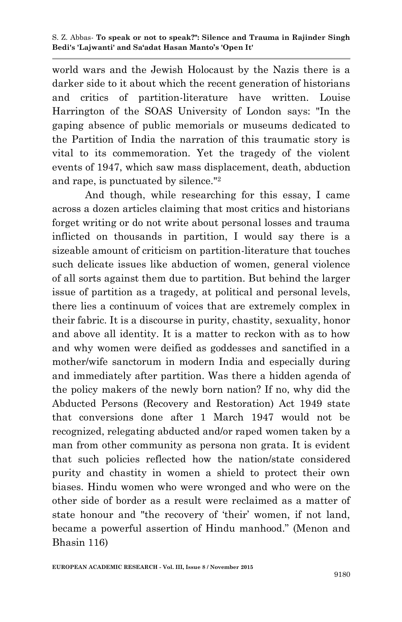world wars and the Jewish Holocaust by the Nazis there is a darker side to it about which the recent generation of historians and critics of partition-literature have written. Louise Harrington of the SOAS University of London says: "In the gaping absence of public memorials or museums dedicated to the Partition of India the narration of this traumatic story is vital to its commemoration. Yet the tragedy of the violent events of 1947, which saw mass displacement, death, abduction and rape, is punctuated by silence."<sup>2</sup>

And though, while researching for this essay, I came across a dozen articles claiming that most critics and historians forget writing or do not write about personal losses and trauma inflicted on thousands in partition, I would say there is a sizeable amount of criticism on partition-literature that touches such delicate issues like abduction of women, general violence of all sorts against them due to partition. But behind the larger issue of partition as a tragedy, at political and personal levels, there lies a continuum of voices that are extremely complex in their fabric. It is a discourse in purity, chastity, sexuality, honor and above all identity. It is a matter to reckon with as to how and why women were deified as goddesses and sanctified in a mother/wife sanctorum in modern India and especially during and immediately after partition. Was there a hidden agenda of the policy makers of the newly born nation? If no, why did the Abducted Persons (Recovery and Restoration) Act 1949 state that conversions done after 1 March 1947 would not be recognized, relegating abducted and/or raped women taken by a man from other community as persona non grata. It is evident that such policies reflected how the nation/state considered purity and chastity in women a shield to protect their own biases. Hindu women who were wronged and who were on the other side of border as a result were reclaimed as a matter of state honour and "the recovery of "their" women, if not land, became a powerful assertion of Hindu manhood." (Menon and Bhasin 116)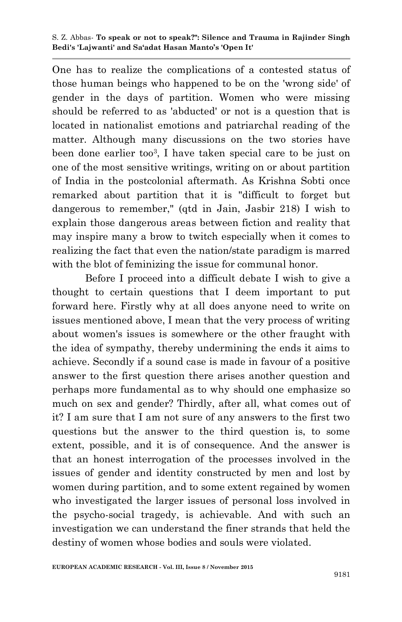One has to realize the complications of a contested status of those human beings who happened to be on the 'wrong side' of gender in the days of partition. Women who were missing should be referred to as 'abducted' or not is a question that is located in nationalist emotions and patriarchal reading of the matter. Although many discussions on the two stories have been done earlier too<sup>3</sup> , I have taken special care to be just on one of the most sensitive writings, writing on or about partition of India in the postcolonial aftermath. As Krishna Sobti once remarked about partition that it is "difficult to forget but dangerous to remember," (qtd in Jain, Jasbir 218) I wish to explain those dangerous areas between fiction and reality that may inspire many a brow to twitch especially when it comes to realizing the fact that even the nation/state paradigm is marred with the blot of feminizing the issue for communal honor.

Before I proceed into a difficult debate I wish to give a thought to certain questions that I deem important to put forward here. Firstly why at all does anyone need to write on issues mentioned above, I mean that the very process of writing about women's issues is somewhere or the other fraught with the idea of sympathy, thereby undermining the ends it aims to achieve. Secondly if a sound case is made in favour of a positive answer to the first question there arises another question and perhaps more fundamental as to why should one emphasize so much on sex and gender? Thirdly, after all, what comes out of it? I am sure that I am not sure of any answers to the first two questions but the answer to the third question is, to some extent, possible, and it is of consequence. And the answer is that an honest interrogation of the processes involved in the issues of gender and identity constructed by men and lost by women during partition, and to some extent regained by women who investigated the larger issues of personal loss involved in the psycho-social tragedy, is achievable. And with such an investigation we can understand the finer strands that held the destiny of women whose bodies and souls were violated.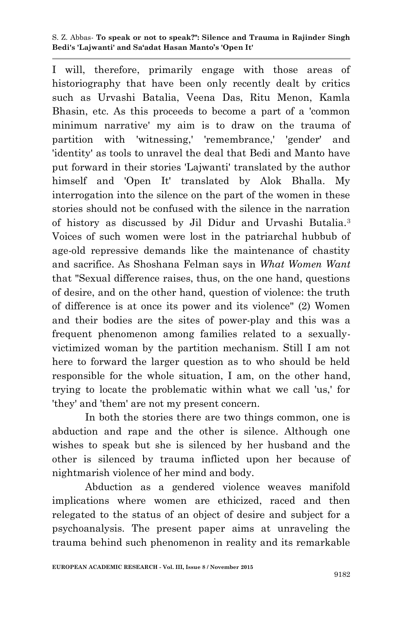S. Z. Abbas*-* **To speak or not to speak?": Silence and Trauma in Rajinder Singh Bedi's 'Lajwanti' and Sa'adat Hasan Manto's 'Open It'**

I will, therefore, primarily engage with those areas of historiography that have been only recently dealt by critics such as Urvashi Batalia, Veena Das, Ritu Menon, Kamla Bhasin, etc. As this proceeds to become a part of a 'common minimum narrative' my aim is to draw on the trauma of partition with 'witnessing,' 'remembrance,' 'gender' and 'identity' as tools to unravel the deal that Bedi and Manto have put forward in their stories 'Lajwanti' translated by the author himself and 'Open It' translated by Alok Bhalla. My interrogation into the silence on the part of the women in these stories should not be confused with the silence in the narration of history as discussed by Jil Didur and Urvashi Butalia.<sup>3</sup> Voices of such women were lost in the patriarchal hubbub of age-old repressive demands like the maintenance of chastity and sacrifice. As Shoshana Felman says in *What Women Want* that "Sexual difference raises, thus, on the one hand, questions of desire, and on the other hand, question of violence: the truth of difference is at once its power and its violence" (2) Women and their bodies are the sites of power-play and this was a frequent phenomenon among families related to a sexuallyvictimized woman by the partition mechanism. Still I am not here to forward the larger question as to who should be held responsible for the whole situation, I am, on the other hand, trying to locate the problematic within what we call 'us,' for 'they' and 'them' are not my present concern.

In both the stories there are two things common, one is abduction and rape and the other is silence. Although one wishes to speak but she is silenced by her husband and the other is silenced by trauma inflicted upon her because of nightmarish violence of her mind and body.

Abduction as a gendered violence weaves manifold implications where women are ethicized, raced and then relegated to the status of an object of desire and subject for a psychoanalysis. The present paper aims at unraveling the trauma behind such phenomenon in reality and its remarkable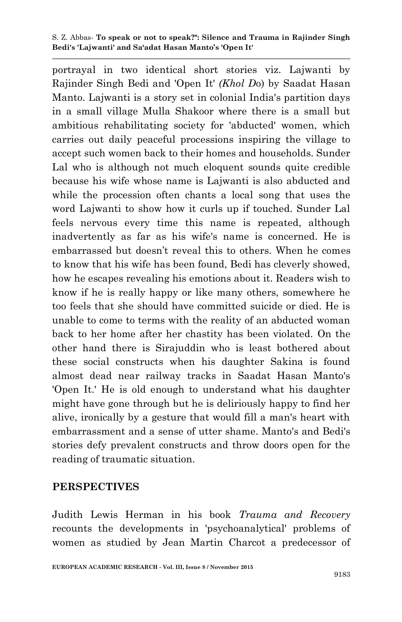portrayal in two identical short stories viz. Lajwanti by Rajinder Singh Bedi and 'Open It' *(Khol D*o) by Saadat Hasan Manto. Lajwanti is a story set in colonial India's partition days in a small village Mulla Shakoor where there is a small but ambitious rehabilitating society for 'abducted' women, which carries out daily peaceful processions inspiring the village to accept such women back to their homes and households. Sunder Lal who is although not much eloquent sounds quite credible because his wife whose name is Lajwanti is also abducted and while the procession often chants a local song that uses the word Lajwanti to show how it curls up if touched. Sunder Lal feels nervous every time this name is repeated, although inadvertently as far as his wife's name is concerned. He is embarrassed but doesn"t reveal this to others. When he comes to know that his wife has been found, Bedi has cleverly showed, how he escapes revealing his emotions about it. Readers wish to know if he is really happy or like many others, somewhere he too feels that she should have committed suicide or died. He is unable to come to terms with the reality of an abducted woman back to her home after her chastity has been violated. On the other hand there is Sirajuddin who is least bothered about these social constructs when his daughter Sakina is found almost dead near railway tracks in Saadat Hasan Manto's 'Open It.' He is old enough to understand what his daughter might have gone through but he is deliriously happy to find her alive, ironically by a gesture that would fill a man's heart with embarrassment and a sense of utter shame. Manto's and Bedi's stories defy prevalent constructs and throw doors open for the reading of traumatic situation.

#### **PERSPECTIVES**

Judith Lewis Herman in his book *Trauma and Recovery* recounts the developments in 'psychoanalytical' problems of women as studied by Jean Martin Charcot a predecessor of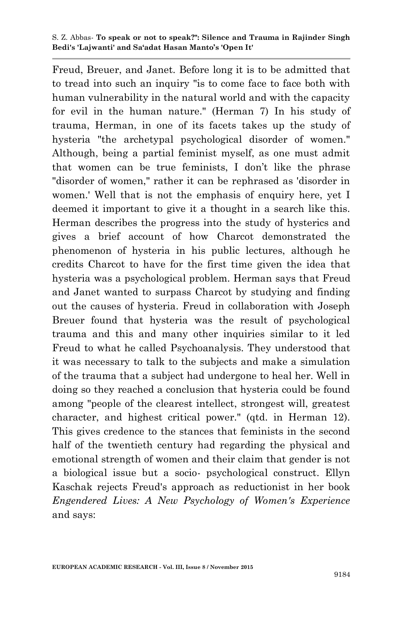#### S. Z. Abbas*-* **To speak or not to speak?": Silence and Trauma in Rajinder Singh Bedi's 'Lajwanti' and Sa'adat Hasan Manto's 'Open It'**

Freud, Breuer, and Janet. Before long it is to be admitted that to tread into such an inquiry "is to come face to face both with human vulnerability in the natural world and with the capacity for evil in the human nature." (Herman 7) In his study of trauma, Herman, in one of its facets takes up the study of hysteria "the archetypal psychological disorder of women." Although, being a partial feminist myself, as one must admit that women can be true feminists, I don"t like the phrase "disorder of women," rather it can be rephrased as 'disorder in women.' Well that is not the emphasis of enquiry here, yet I deemed it important to give it a thought in a search like this. Herman describes the progress into the study of hysterics and gives a brief account of how Charcot demonstrated the phenomenon of hysteria in his public lectures, although he credits Charcot to have for the first time given the idea that hysteria was a psychological problem. Herman says that Freud and Janet wanted to surpass Charcot by studying and finding out the causes of hysteria. Freud in collaboration with Joseph Breuer found that hysteria was the result of psychological trauma and this and many other inquiries similar to it led Freud to what he called Psychoanalysis. They understood that it was necessary to talk to the subjects and make a simulation of the trauma that a subject had undergone to heal her. Well in doing so they reached a conclusion that hysteria could be found among "people of the clearest intellect, strongest will, greatest character, and highest critical power." (qtd. in Herman 12). This gives credence to the stances that feminists in the second half of the twentieth century had regarding the physical and emotional strength of women and their claim that gender is not a biological issue but a socio- psychological construct. Ellyn Kaschak rejects Freud's approach as reductionist in her book *Engendered Lives: A New Psychology of Women's Experience*  and says: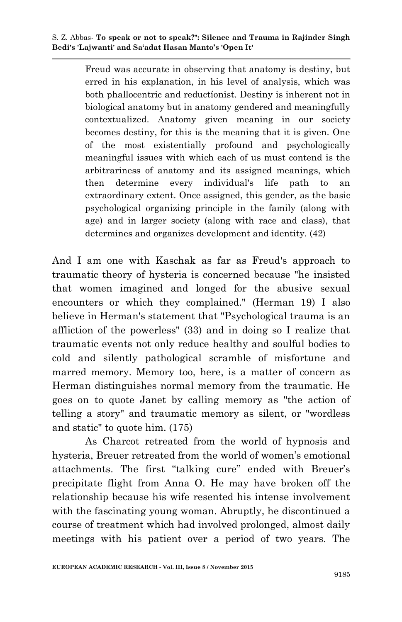Freud was accurate in observing that anatomy is destiny, but erred in his explanation, in his level of analysis, which was both phallocentric and reductíonist. Destiny is inherent not in biological anatomy but in anatomy gendered and meaningfully contextualized. Anatomy given meaning in our society becomes destiny, for this is the meaning that it is given. One of the most existentially profound and psychologically meaningful issues with which each of us must contend is the arbitrariness of anatomy and its assigned meanings, which then determine every individual's life path to an extraordinary extent. Once assigned, this gender, as the basic psychological organizing principle in the family (along with age) and in larger society (along with race and class), that determines and organizes development and identity. (42)

And I am one with Kaschak as far as Freud's approach to traumatic theory of hysteria is concerned because "he insisted that women imagined and longed for the abusive sexual encounters or which they complained." (Herman 19) I also believe in Herman's statement that "Psychological trauma is an affliction of the powerless" (33) and in doing so I realize that traumatic events not only reduce healthy and soulful bodies to cold and silently pathological scramble of misfortune and marred memory. Memory too, here, is a matter of concern as Herman distinguishes normal memory from the traumatic. He goes on to quote Janet by calling memory as "the action of telling a story" and traumatic memory as silent, or "wordless and static" to quote him. (175)

As Charcot retreated from the world of hypnosis and hysteria, Breuer retreated from the world of women's emotional attachments. The first "talking cure" ended with Breuer's precipitate flight from Anna O. He may have broken off the relationship because his wife resented his intense involvement with the fascinating young woman. Abruptly, he discontinued a course of treatment which had involved prolonged, almost daily meetings with his patient over a period of two years. The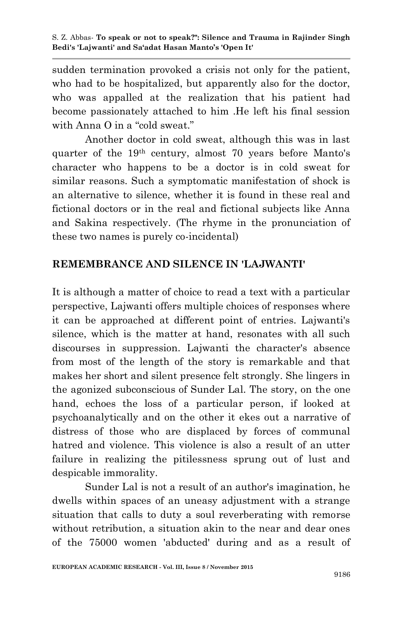sudden termination provoked a crisis not only for the patient, who had to be hospitalized, but apparently also for the doctor, who was appalled at the realization that his patient had become passionately attached to him .He left his final session with Anna O in a "cold sweat."

Another doctor in cold sweat, although this was in last quarter of the 19th century, almost 70 years before Manto's character who happens to be a doctor is in cold sweat for similar reasons. Such a symptomatic manifestation of shock is an alternative to silence, whether it is found in these real and fictional doctors or in the real and fictional subjects like Anna and Sakina respectively. (The rhyme in the pronunciation of these two names is purely co-incidental)

## **REMEMBRANCE AND SILENCE IN 'LAJWANTI'**

It is although a matter of choice to read a text with a particular perspective, Lajwanti offers multiple choices of responses where it can be approached at different point of entries. Lajwanti's silence, which is the matter at hand, resonates with all such discourses in suppression. Lajwanti the character's absence from most of the length of the story is remarkable and that makes her short and silent presence felt strongly. She lingers in the agonized subconscious of Sunder Lal. The story, on the one hand, echoes the loss of a particular person, if looked at psychoanalytically and on the other it ekes out a narrative of distress of those who are displaced by forces of communal hatred and violence. This violence is also a result of an utter failure in realizing the pitilessness sprung out of lust and despicable immorality.

Sunder Lal is not a result of an author's imagination, he dwells within spaces of an uneasy adjustment with a strange situation that calls to duty a soul reverberating with remorse without retribution, a situation akin to the near and dear ones of the 75000 women 'abducted' during and as a result of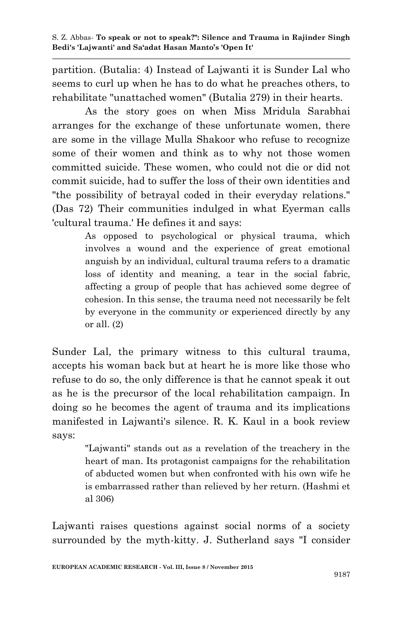partition. (Butalia: 4) Instead of Lajwanti it is Sunder Lal who seems to curl up when he has to do what he preaches others, to rehabilitate "unattached women" (Butalia 279) in their hearts.

As the story goes on when Miss Mridula Sarabhai arranges for the exchange of these unfortunate women, there are some in the village Mulla Shakoor who refuse to recognize some of their women and think as to why not those women committed suicide. These women, who could not die or did not commit suicide, had to suffer the loss of their own identities and "the possibility of betrayal coded in their everyday relations." (Das 72) Their communities indulged in what Eyerman calls 'cultural trauma.' He defines it and says:

> As opposed to psychological or physical trauma, which involves a wound and the experience of great emotional anguish by an individual, cultural trauma refers to a dramatic loss of identity and meaning, a tear in the social fabric, affecting a group of people that has achieved some degree of cohesion. In this sense, the trauma need not necessarily be felt by everyone in the community or experienced directly by any or all. (2)

Sunder Lal, the primary witness to this cultural trauma, accepts his woman back but at heart he is more like those who refuse to do so, the only difference is that he cannot speak it out as he is the precursor of the local rehabilitation campaign. In doing so he becomes the agent of trauma and its implications manifested in Lajwanti's silence. R. K. Kaul in a book review says:

> "Lajwanti" stands out as a revelation of the treachery in the heart of man. Its protagonist campaigns for the rehabilitation of abducted women but when confronted with his own wife he is embarrassed rather than relieved by her return. (Hashmi et al 306)

Lajwanti raises questions against social norms of a society surrounded by the myth-kitty. J. Sutherland says "I consider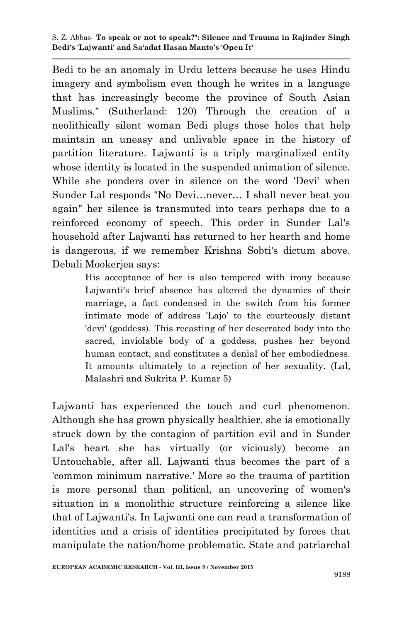Bedi to be an anomaly in Urdu letters because he uses Hindu imagery and symbolism even though he writes in a language that has increasingly become the province of South Asian Muslims." (Sutherland: 120) Through the creation of a neolithically silent woman Bedi plugs those holes that help maintain an uneasy and unlivable space in the history of partition literature. Lajwanti is a triply marginalized entity whose identity is located in the suspended animation of silence. While she ponders over in silence on the word 'Devi' when Sunder Lal responds "No Devi…never… I shall never beat you again" her silence is transmuted into tears perhaps due to a reinforced economy of speech. This order in Sunder Lal's household after Lajwanti has returned to her hearth and home is dangerous, if we remember Krishna Sobti's dictum above. Debali Mookerjea says:

> His acceptance of her is also tempered with irony because Lajwanti's brief absence has altered the dynamics of their marriage, a fact condensed in the switch from his former intimate mode of address 'Lajo' to the courteously distant 'devi' (goddess). This recasting of her desecrated body into the sacred, inviolable body of a goddess, pushes her beyond human contact, and constitutes a denial of her embodiedness. It amounts ultimately to a rejection of her sexuality. (Lal, Malashri and Sukrita P. Kumar 5)

Lajwanti has experienced the touch and curl phenomenon. Although she has grown physically healthier, she is emotionally struck down by the contagion of partition evil and in Sunder Lal's heart she has virtually (or viciously) become an Untouchable, after all. Lajwanti thus becomes the part of a 'common minimum narrative.' More so the trauma of partition is more personal than political, an uncovering of women's situation in a monolithic structure reinforcing a silence like that of Lajwanti's. In Lajwanti one can read a transformation of identities and a crisis of identities precipitated by forces that manipulate the nation/home problematic. State and patriarchal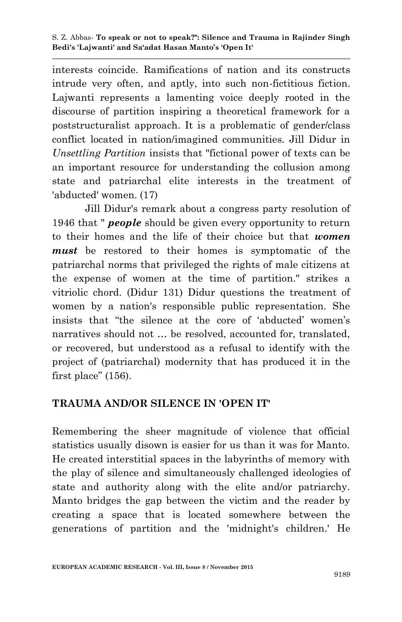interests coincide. Ramifications of nation and its constructs intrude very often, and aptly, into such non-fictitious fiction. Lajwanti represents a lamenting voice deeply rooted in the discourse of partition inspiring a theoretical framework for a poststructuralist approach. It is a problematic of gender/class conflict located in nation/imagined communities. Jill Didur in *Unsettling Partition* insists that "fictional power of texts can be an important resource for understanding the collusion among state and patriarchal elite interests in the treatment of 'abducted' women. (17)

Jill Didur's remark about a congress party resolution of 1946 that " *people* should be given every opportunity to return to their homes and the life of their choice but that *women must* be restored to their homes is symptomatic of the patriarchal norms that privileged the rights of male citizens at the expense of women at the time of partition." strikes a vitriolic chord. (Didur 131) Didur questions the treatment of women by a nation's responsible public representation. She insists that "the silence at the core of 'abducted' women's narratives should not … be resolved, accounted for, translated, or recovered, but understood as a refusal to identify with the project of (patriarchal) modernity that has produced it in the first place" (156).

#### **TRAUMA AND/OR SILENCE IN 'OPEN IT'**

Remembering the sheer magnitude of violence that official statistics usually disown is easier for us than it was for Manto. He created interstitial spaces in the labyrinths of memory with the play of silence and simultaneously challenged ideologies of state and authority along with the elite and/or patriarchy. Manto bridges the gap between the victim and the reader by creating a space that is located somewhere between the generations of partition and the 'midnight's children.' He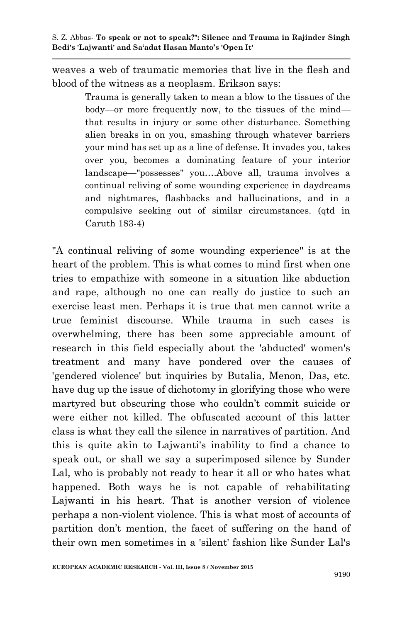weaves a web of traumatic memories that live in the flesh and blood of the witness as a neoplasm. Erikson says:

> Trauma is generally taken to mean a blow to the tissues of the body—or more frequently now, to the tissues of the mind that results in injury or some other disturbance. Something alien breaks in on you, smashing through whatever barriers your mind has set up as a line of defense. It invades you, takes over you, becomes a dominating feature of your interior landscape—"possesses" you….Above all, trauma involves a continual reliving of some wounding experience in daydreams and nightmares, flashbacks and hallucinations, and in a compulsive seeking out of similar circumstances. (qtd in Caruth 183-4)

"A continual reliving of some wounding experience" is at the heart of the problem. This is what comes to mind first when one tries to empathize with someone in a situation like abduction and rape, although no one can really do justice to such an exercise least men. Perhaps it is true that men cannot write a true feminist discourse. While trauma in such cases is overwhelming, there has been some appreciable amount of research in this field especially about the 'abducted' women's treatment and many have pondered over the causes of 'gendered violence' but inquiries by Butalia, Menon, Das, etc. have dug up the issue of dichotomy in glorifying those who were martyred but obscuring those who couldn"t commit suicide or were either not killed. The obfuscated account of this latter class is what they call the silence in narratives of partition. And this is quite akin to Lajwanti's inability to find a chance to speak out, or shall we say a superimposed silence by Sunder Lal, who is probably not ready to hear it all or who hates what happened. Both ways he is not capable of rehabilitating Lajwanti in his heart. That is another version of violence perhaps a non-violent violence. This is what most of accounts of partition don"t mention, the facet of suffering on the hand of their own men sometimes in a 'silent' fashion like Sunder Lal's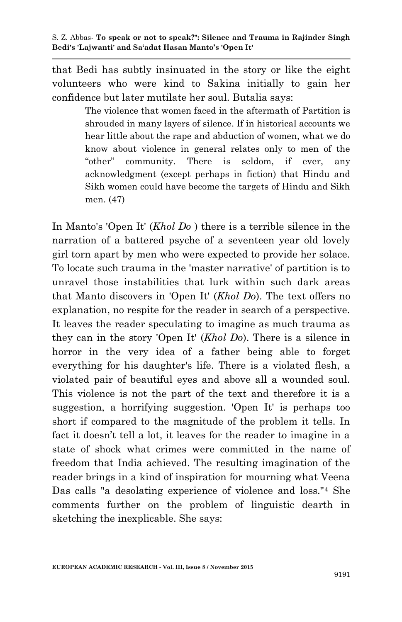that Bedi has subtly insinuated in the story or like the eight volunteers who were kind to Sakina initially to gain her confidence but later mutilate her soul. Butalia says:

> The violence that women faced in the aftermath of Partition is shrouded in many layers of silence. If in historical accounts we hear little about the rape and abduction of women, what we do know about violence in general relates only to men of the "other" community. There is seldom, if ever, any acknowledgment (except perhaps in fiction) that Hindu and Sikh women could have become the targets of Hindu and Sikh men. (47)

In Manto's 'Open It' (*Khol Do* ) there is a terrible silence in the narration of a battered psyche of a seventeen year old lovely girl torn apart by men who were expected to provide her solace. To locate such trauma in the 'master narrative' of partition is to unravel those instabilities that lurk within such dark areas that Manto discovers in 'Open It' (*Khol Do*). The text offers no explanation, no respite for the reader in search of a perspective. It leaves the reader speculating to imagine as much trauma as they can in the story 'Open It' (*Khol Do*). There is a silence in horror in the very idea of a father being able to forget everything for his daughter's life. There is a violated flesh, a violated pair of beautiful eyes and above all a wounded soul. This violence is not the part of the text and therefore it is a suggestion, a horrifying suggestion. 'Open It' is perhaps too short if compared to the magnitude of the problem it tells. In fact it doesn't tell a lot, it leaves for the reader to imagine in a state of shock what crimes were committed in the name of freedom that India achieved. The resulting imagination of the reader brings in a kind of inspiration for mourning what Veena Das calls "a desolating experience of violence and loss."<sup>4</sup> She comments further on the problem of linguistic dearth in sketching the inexplicable. She says: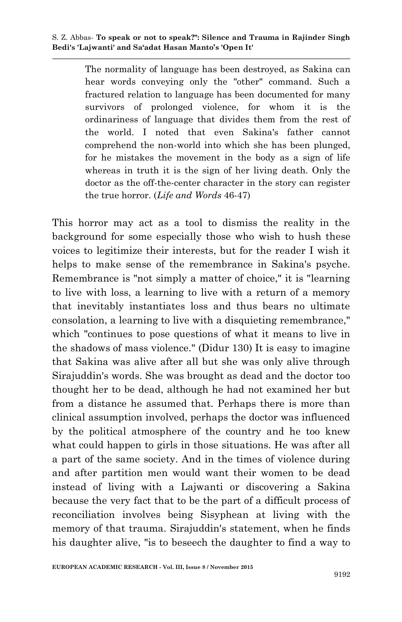The normality of language has been destroyed, as Sakina can hear words conveying only the "other" command. Such a fractured relation to language has been documented for many survivors of prolonged violence, for whom it is the ordinariness of language that divides them from the rest of the world. I noted that even Sakina's father cannot comprehend the non-world into which she has been plunged, for he mistakes the movement in the body as a sign of life whereas in truth it is the sign of her living death. Only the doctor as the off-the-center character in the story can register the true horror. (*Life and Words* 46-47)

This horror may act as a tool to dismiss the reality in the background for some especially those who wish to hush these voices to legitimize their interests, but for the reader I wish it helps to make sense of the remembrance in Sakina's psyche. Remembrance is "not simply a matter of choice," it is "learning to live with loss, a learning to live with a return of a memory that inevitably instantiates loss and thus bears no ultimate consolation, a learning to live with a disquieting remembrance," which "continues to pose questions of what it means to live in the shadows of mass violence." (Didur 130) It is easy to imagine that Sakina was alive after all but she was only alive through Sirajuddin's words. She was brought as dead and the doctor too thought her to be dead, although he had not examined her but from a distance he assumed that. Perhaps there is more than clinical assumption involved, perhaps the doctor was influenced by the political atmosphere of the country and he too knew what could happen to girls in those situations. He was after all a part of the same society. And in the times of violence during and after partition men would want their women to be dead instead of living with a Lajwanti or discovering a Sakina because the very fact that to be the part of a difficult process of reconciliation involves being Sisyphean at living with the memory of that trauma. Sirajuddin's statement, when he finds his daughter alive, "is to beseech the daughter to find a way to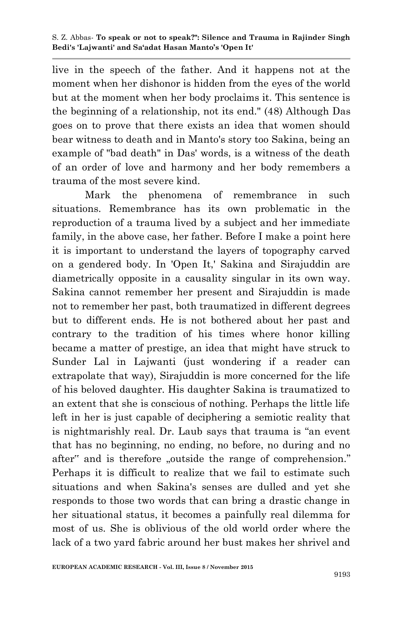live in the speech of the father. And it happens not at the moment when her dishonor is hidden from the eyes of the world but at the moment when her body proclaims it. This sentence is the beginning of a relationship, not its end." (48) Although Das goes on to prove that there exists an idea that women should bear witness to death and in Manto's story too Sakina, being an example of "bad death" in Das' words, is a witness of the death of an order of love and harmony and her body remembers a trauma of the most severe kind.

Mark the phenomena of remembrance in such situations. Remembrance has its own problematic in the reproduction of a trauma lived by a subject and her immediate family, in the above case, her father. Before I make a point here it is important to understand the layers of topography carved on a gendered body. In 'Open It,' Sakina and Sirajuddin are diametrically opposite in a causality singular in its own way. Sakina cannot remember her present and Sirajuddin is made not to remember her past, both traumatized in different degrees but to different ends. He is not bothered about her past and contrary to the tradition of his times where honor killing became a matter of prestige, an idea that might have struck to Sunder Lal in Lajwanti (just wondering if a reader can extrapolate that way), Sirajuddin is more concerned for the life of his beloved daughter. His daughter Sakina is traumatized to an extent that she is conscious of nothing. Perhaps the little life left in her is just capable of deciphering a semiotic reality that is nightmarishly real. Dr. Laub says that trauma is "an event that has no beginning, no ending, no before, no during and no after" and is therefore "outside the range of comprehension." Perhaps it is difficult to realize that we fail to estimate such situations and when Sakina's senses are dulled and yet she responds to those two words that can bring a drastic change in her situational status, it becomes a painfully real dilemma for most of us. She is oblivious of the old world order where the lack of a two yard fabric around her bust makes her shrivel and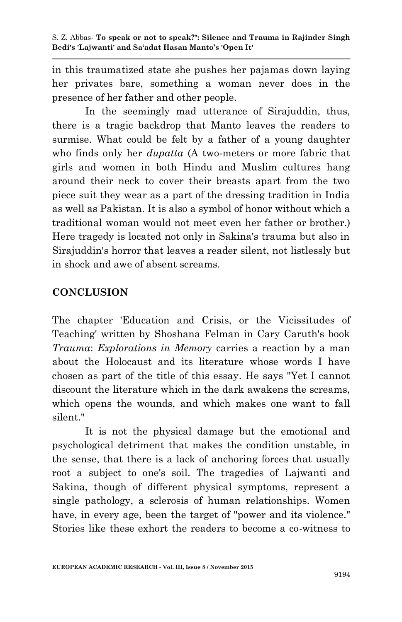in this traumatized state she pushes her pajamas down laying her privates bare, something a woman never does in the presence of her father and other people.

In the seemingly mad utterance of Sirajuddin, thus, there is a tragic backdrop that Manto leaves the readers to surmise. What could be felt by a father of a young daughter who finds only her *dupatta* (A two-meters or more fabric that girls and women in both Hindu and Muslim cultures hang around their neck to cover their breasts apart from the two piece suit they wear as a part of the dressing tradition in India as well as Pakistan. It is also a symbol of honor without which a traditional woman would not meet even her father or brother.) Here tragedy is located not only in Sakina's trauma but also in Sirajuddin's horror that leaves a reader silent, not listlessly but in shock and awe of absent screams.

# **CONCLUSION**

The chapter 'Education and Crisis, or the Vicissitudes of Teaching' written by Shoshana Felman in Cary Caruth's book *Trauma*: *Explorations in Memory* carries a reaction by a man about the Holocaust and its literature whose words I have chosen as part of the title of this essay. He says "Yet I cannot discount the literature which in the dark awakens the screams, which opens the wounds, and which makes one want to fall silent."

It is not the physical damage but the emotional and psychological detriment that makes the condition unstable, in the sense, that there is a lack of anchoring forces that usually root a subject to one's soil. The tragedies of Lajwanti and Sakina, though of different physical symptoms, represent a single pathology, a sclerosis of human relationships. Women have, in every age, been the target of "power and its violence." Stories like these exhort the readers to become a co-witness to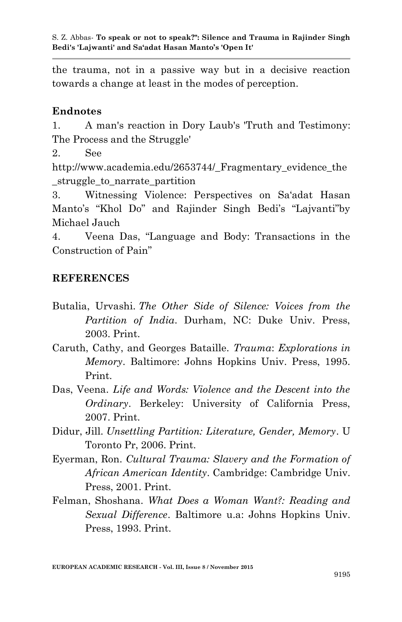the trauma, not in a passive way but in a decisive reaction towards a change at least in the modes of perception.

## **Endnotes**

1. A man's reaction in Dory Laub's 'Truth and Testimony: The Process and the Struggle'

2. See

http://www.academia.edu/2653744/ Fragmentary evidence the struggle to narrate partition

3. Witnessing Violence: Perspectives on Sa"adat Hasan Manto's "Khol Do" and Rajinder Singh Bedi's "Lajvanti"by Michael Jauch

4. Veena Das, "Language and Body: Transactions in the Construction of Pain"

## **REFERENCES**

- Butalia, Urvashi. *The Other Side of Silence: Voices from the Partition of India*. Durham, NC: Duke Univ. Press, 2003. Print.
- Caruth, Cathy, and Georges Bataille. *Trauma*: *Explorations in Memory*. Baltimore: Johns Hopkins Univ. Press, 1995. Print.
- Das, Veena. *Life and Words: Violence and the Descent into the Ordinary*. Berkeley: University of California Press, 2007. Print.
- Didur, Jill. *Unsettling Partition: Literature, Gender, Memory*. U Toronto Pr, 2006. Print.
- Eyerman, Ron. *Cultural Trauma: Slavery and the Formation of African American Identity*. Cambridge: Cambridge Univ. Press, 2001. Print.
- Felman, Shoshana. *What Does a Woman Want?: Reading and Sexual Difference*. Baltimore u.a: Johns Hopkins Univ. Press, 1993. Print.